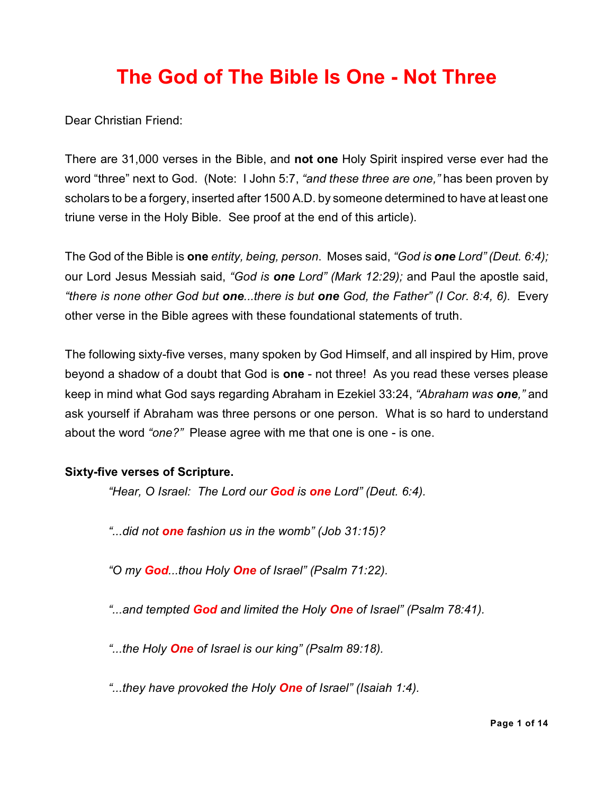# **The God of The Bible Is One - Not Three**

Dear Christian Friend:

There are 31,000 verses in the Bible, and **not one** Holy Spirit inspired verse ever had the word "three" next to God. (Note: I John 5:7, *"and these three are one,"* has been proven by scholars to be a forgery, inserted after 1500 A.D. by someone determined to have at least one triune verse in the Holy Bible. See proof at the end of this article).

The God of the Bible is **one** *entity, being, person*. Moses said, *"God is one Lord" (Deut. 6:4);* our Lord Jesus Messiah said, *"God is one Lord" (Mark 12:29);* and Paul the apostle said, *"there is none other God but one...there is but one God, the Father" (I Cor. 8:4, 6).* Every other verse in the Bible agrees with these foundational statements of truth.

The following sixty-five verses, many spoken by God Himself, and all inspired by Him, prove beyond a shadow of a doubt that God is **one** - not three! As you read these verses please keep in mind what God says regarding Abraham in Ezekiel 33:24, *"Abraham was one,"* and ask yourself if Abraham was three persons or one person. What is so hard to understand about the word *"one?"* Please agree with me that one is one - is one.

## **Sixty-five verses of Scripture.**

*"Hear, O Israel: The Lord our God is one Lord" (Deut. 6:4).*

*"...did not one fashion us in the womb" (Job 31:15)?*

*"O my God...thou Holy One of Israel" (Psalm 71:22).*

*"...and tempted God and limited the Holy One of Israel" (Psalm 78:41).*

*"...the Holy One of Israel is our king" (Psalm 89:18).*

*"...they have provoked the Holy One of Israel" (Isaiah 1:4).*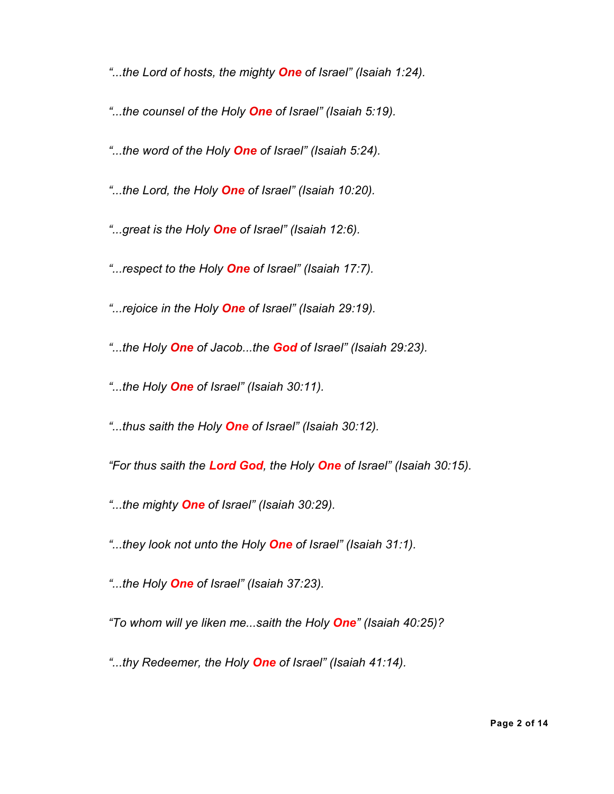*"...the Lord of hosts, the mighty One of Israel" (Isaiah 1:24).*

- *"...the counsel of the Holy One of Israel" (Isaiah 5:19).*
- *"...the word of the Holy One of Israel" (Isaiah 5:24).*
- *"...the Lord, the Holy One of Israel" (Isaiah 10:20).*
- *"...great is the Holy One of Israel" (Isaiah 12:6).*
- *"...respect to the Holy One of Israel" (Isaiah 17:7).*
- *"...rejoice in the Holy One of Israel" (Isaiah 29:19).*
- *"...the Holy One of Jacob...the God of Israel" (Isaiah 29:23).*
- *"...the Holy One of Israel" (Isaiah 30:11).*
- *"...thus saith the Holy One of Israel" (Isaiah 30:12).*
- *"For thus saith the Lord God, the Holy One of Israel" (Isaiah 30:15).*
- *"...the mighty One of Israel" (Isaiah 30:29).*
- *"...they look not unto the Holy One of Israel" (Isaiah 31:1).*
- *"...the Holy One of Israel" (Isaiah 37:23).*
- *"To whom will ye liken me...saith the Holy One" (Isaiah 40:25)?*
- *"...thy Redeemer, the Holy One of Israel" (Isaiah 41:14).*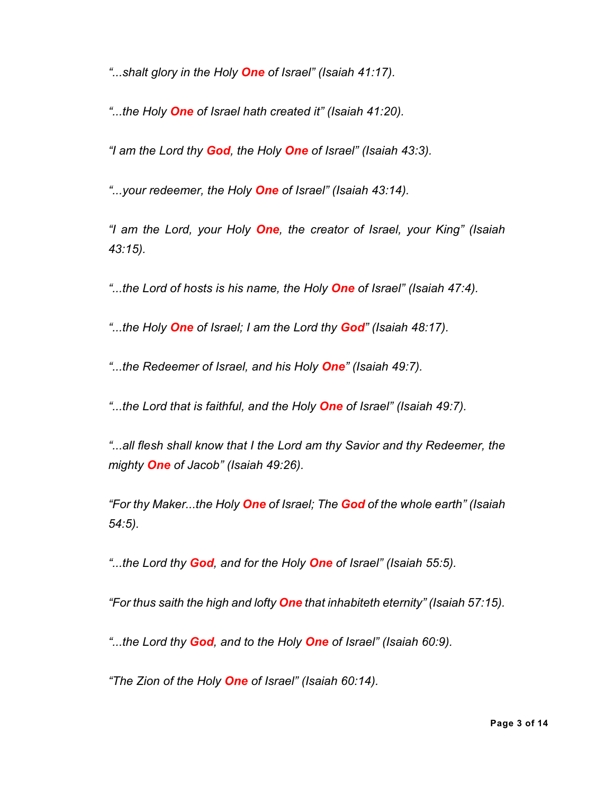*"...shalt glory in the Holy One of Israel" (Isaiah 41:17).*

*"...the Holy One of Israel hath created it" (Isaiah 41:20).*

*"I am the Lord thy God, the Holy One of Israel" (Isaiah 43:3).*

*"...your redeemer, the Holy One of Israel" (Isaiah 43:14).*

*"I am the Lord, your Holy One, the creator of Israel, your King" (Isaiah 43:15).*

*"...the Lord of hosts is his name, the Holy One of Israel" (Isaiah 47:4).*

*"...the Holy One of Israel; I am the Lord thy God" (Isaiah 48:17).*

*"...the Redeemer of Israel, and his Holy One" (Isaiah 49:7).*

*"...the Lord that is faithful, and the Holy One of Israel" (Isaiah 49:7).*

*"...all flesh shall know that I the Lord am thy Savior and thy Redeemer, the mighty One of Jacob" (Isaiah 49:26).*

*"For thy Maker...the Holy One of Israel; The God of the whole earth" (Isaiah 54:5).*

*"...the Lord thy God, and for the Holy One of Israel" (Isaiah 55:5).*

*"For thus saith the high and lofty One that inhabiteth eternity" (Isaiah 57:15).*

*"...the Lord thy God, and to the Holy One of Israel" (Isaiah 60:9).*

*"The Zion of the Holy One of Israel" (Isaiah 60:14).*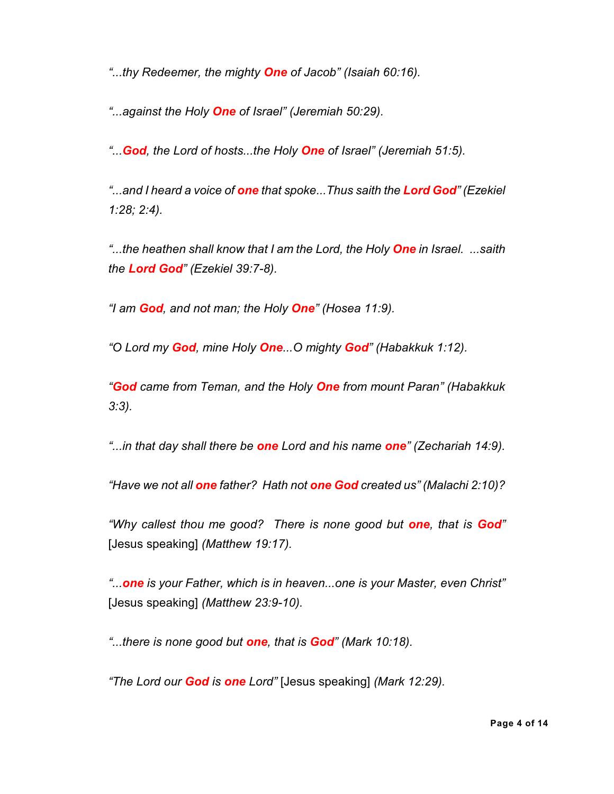*"...thy Redeemer, the mighty One of Jacob" (Isaiah 60:16).*

*"...against the Holy One of Israel" (Jeremiah 50:29).*

*"...God, the Lord of hosts...the Holy One of Israel" (Jeremiah 51:5).*

*"...and I heard a voice of one that spoke...Thus saith the Lord God" (Ezekiel 1:28; 2:4).*

*"...the heathen shall know that I am the Lord, the Holy One in Israel. ...saith the Lord God" (Ezekiel 39:7-8).*

*"I am God, and not man; the Holy One" (Hosea 11:9).*

*"O Lord my God, mine Holy One...O mighty God" (Habakkuk 1:12).*

*"God came from Teman, and the Holy One from mount Paran" (Habakkuk 3:3).*

*"...in that day shall there be one Lord and his name one" (Zechariah 14:9).*

*"Have we not all one father? Hath not one God created us" (Malachi 2:10)?*

*"Why callest thou me good? There is none good but one, that is God"* [Jesus speaking] *(Matthew 19:17).*

*"...one is your Father, which is in heaven...one is your Master, even Christ"* [Jesus speaking] *(Matthew 23:9-10).*

*"...there is none good but one, that is God" (Mark 10:18).*

*"The Lord our God is one Lord"* [Jesus speaking] *(Mark 12:29).*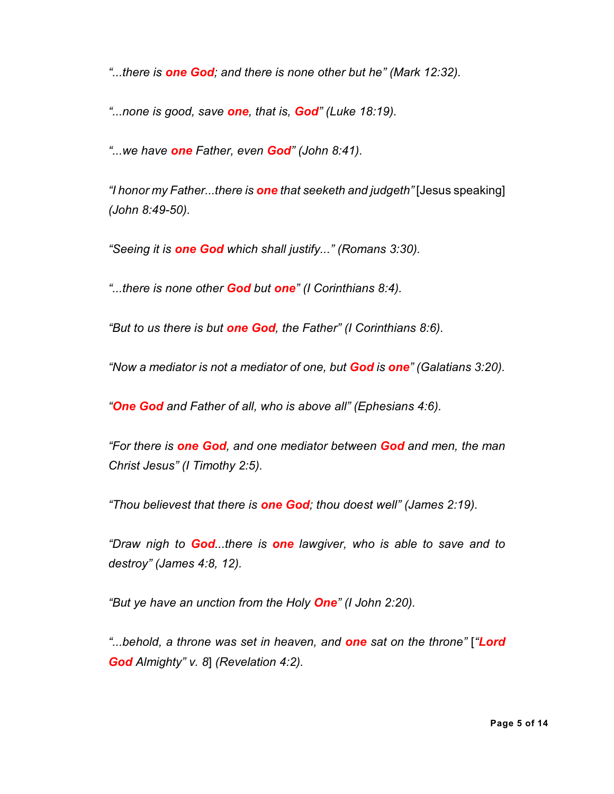*"...there is one God; and there is none other but he" (Mark 12:32).*

*"...none is good, save one, that is, God" (Luke 18:19).*

*"...we have one Father, even God" (John 8:41).*

*"I honor my Father...there is one that seeketh and judgeth"* [Jesus speaking] *(John 8:49-50).*

*"Seeing it is one God which shall justify..." (Romans 3:30).*

*"...there is none other God but one" (I Corinthians 8:4).*

*"But to us there is but one God, the Father" (I Corinthians 8:6).*

*"Now a mediator is not a mediator of one, but God is one" (Galatians 3:20).*

*"One God and Father of all, who is above all" (Ephesians 4:6).*

*"For there is one God, and one mediator between God and men, the man Christ Jesus" (I Timothy 2:5).*

*"Thou believest that there is one God; thou doest well" (James 2:19).*

*"Draw nigh to God...there is one lawgiver, who is able to save and to destroy" (James 4:8, 12).*

*"But ye have an unction from the Holy One" (I John 2:20).*

*"...behold, a throne was set in heaven, and one sat on the throne"* [*"Lord God Almighty" v. 8*] *(Revelation 4:2).*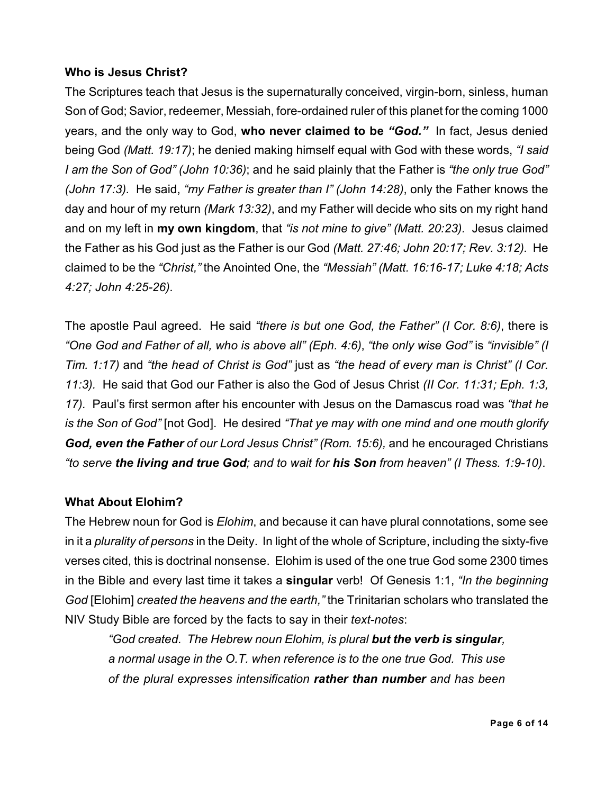## **Who is Jesus Christ?**

The Scriptures teach that Jesus is the supernaturally conceived, virgin-born, sinless, human Son of God; Savior, redeemer, Messiah, fore-ordained ruler of this planet for the coming 1000 years, and the only way to God, **who never claimed to be** *"God."* In fact, Jesus denied being God *(Matt. 19:17)*; he denied making himself equal with God with these words, *"I said I am the Son of God" (John 10:36)*; and he said plainly that the Father is *"the only true God" (John 17:3).* He said, *"my Father is greater than I" (John 14:28)*, only the Father knows the day and hour of my return *(Mark 13:32)*, and my Father will decide who sits on my right hand and on my left in **my own kingdom**, that *"is not mine to give" (Matt. 20:23).* Jesus claimed the Father as his God just as the Father is our God *(Matt. 27:46; John 20:17; Rev. 3:12).* He claimed to be the *"Christ,"* the Anointed One, the *"Messiah" (Matt. 16:16-17; Luke 4:18; Acts 4:27; John 4:25-26).*

The apostle Paul agreed. He said *"there is but one God, the Father" (I Cor. 8:6)*, there is *"One God and Father of all, who is above all" (Eph. 4:6)*, *"the only wise God"* is *"invisible" (I Tim. 1:17)* and *"the head of Christ is God"* just as *"the head of every man is Christ" (I Cor. 11:3).* He said that God our Father is also the God of Jesus Christ *(II Cor. 11:31; Eph. 1:3, 17).* Paul's first sermon after his encounter with Jesus on the Damascus road was *"that he is the Son of God"* [not God]. He desired *"That ye may with one mind and one mouth glorify God, even the Father of our Lord Jesus Christ" (Rom. 15:6),* and he encouraged Christians *"to serve the living and true God; and to wait for his Son from heaven" (I Thess. 1:9-10)*.

## **What About Elohim?**

The Hebrew noun for God is *Elohim*, and because it can have plural connotations, some see in it a *plurality of persons* in the Deity. In light of the whole of Scripture, including the sixty-five verses cited, this is doctrinal nonsense. Elohim is used of the one true God some 2300 times in the Bible and every last time it takes a **singular** verb! Of Genesis 1:1, *"In the beginning God* [Elohim] *created the heavens and the earth,"* the Trinitarian scholars who translated the NIV Study Bible are forced by the facts to say in their *text-notes*:

*"God created. The Hebrew noun Elohim, is plural but the verb is singular, a normal usage in the O.T. when reference is to the one true God. This use of the plural expresses intensification rather than number and has been*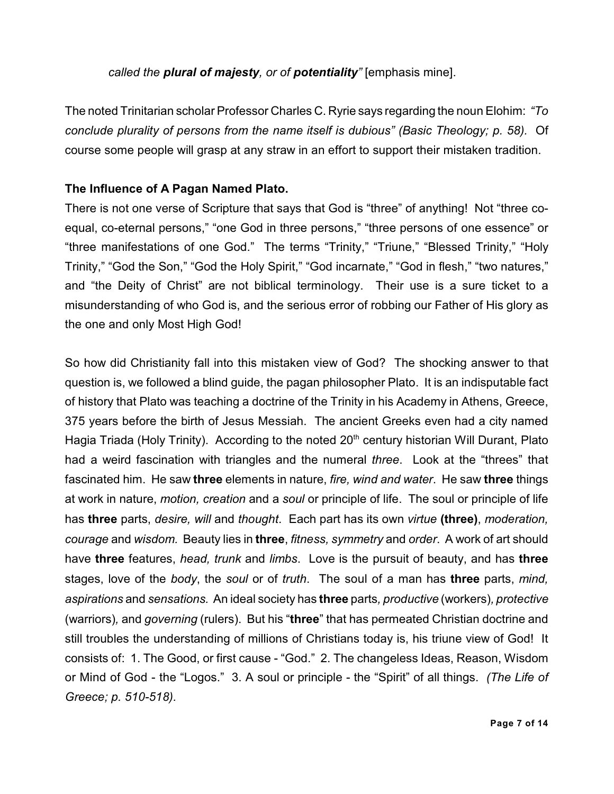*called the plural of majesty, or of potentiality"* [emphasis mine].

The noted Trinitarian scholar Professor Charles C. Ryrie says regarding the noun Elohim: *"To conclude plurality of persons from the name itself is dubious" (Basic Theology; p. 58).* Of course some people will grasp at any straw in an effort to support their mistaken tradition.

## **The Influence of A Pagan Named Plato.**

There is not one verse of Scripture that says that God is "three" of anything! Not "three coequal, co-eternal persons," "one God in three persons," "three persons of one essence" or "three manifestations of one God." The terms "Trinity," "Triune," "Blessed Trinity," "Holy Trinity," "God the Son," "God the Holy Spirit," "God incarnate," "God in flesh," "two natures," and "the Deity of Christ" are not biblical terminology. Their use is a sure ticket to a misunderstanding of who God is, and the serious error of robbing our Father of His glory as the one and only Most High God!

So how did Christianity fall into this mistaken view of God? The shocking answer to that question is, we followed a blind guide, the pagan philosopher Plato. It is an indisputable fact of history that Plato was teaching a doctrine of the Trinity in his Academy in Athens, Greece, 375 years before the birth of Jesus Messiah. The ancient Greeks even had a city named Hagia Triada (Holy Trinity). According to the noted 20<sup>th</sup> century historian Will Durant, Plato had a weird fascination with triangles and the numeral *three*. Look at the "threes" that fascinated him. He saw **three** elements in nature, *fire, wind and water*. He saw **three** things at work in nature, *motion, creation* and a *soul* or principle of life. The soul or principle of life has **three** parts, *desire, will* and *thought*. Each part has its own *virtue* **(three)**, *moderation, courage* and *wisdom.* Beauty lies in **three**, *fitness, symmetry* and *order*. A work of art should have **three** features, *head, trunk* and *limbs*. Love is the pursuit of beauty, and has **three** stages, love of the *body*, the *soul* or of *truth*. The soul of a man has **three** parts, *mind, aspirations* and *sensations.* An ideal society has **three** parts*, productive* (workers)*, protective* (warriors)*,* and *governing* (rulers). But his "**three**" that has permeated Christian doctrine and still troubles the understanding of millions of Christians today is, his triune view of God! It consists of: 1. The Good, or first cause - "God." 2. The changeless Ideas, Reason, Wisdom or Mind of God - the "Logos." 3. A soul or principle - the "Spirit" of all things. *(The Life of Greece; p. 510-518).*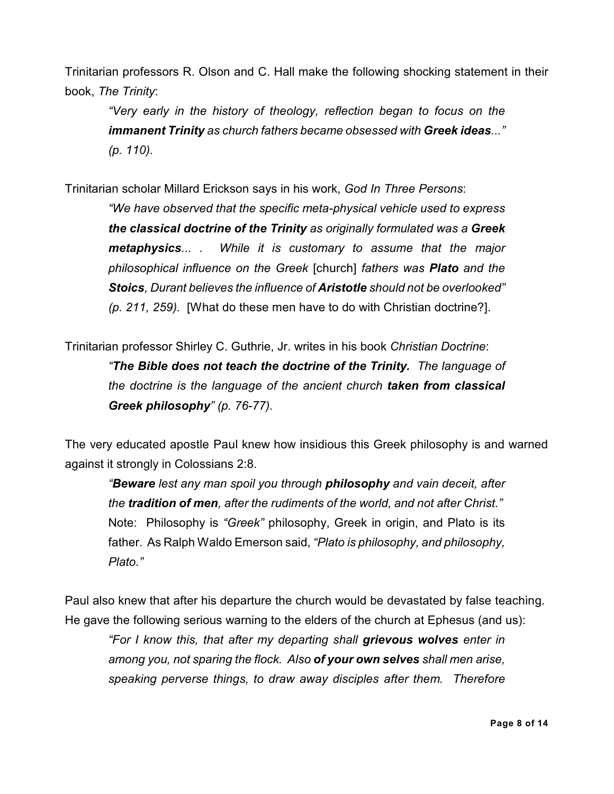Trinitarian professors R. Olson and C. Hall make the following shocking statement in their book, *The Trinity*:

*"Very early in the history of theology, reflection began to focus on the immanent Trinity as church fathers became obsessed with Greek ideas..." (p. 110).*

Trinitarian scholar Millard Erickson says in his work, *God In Three Persons*:

*"We have observed that the specific meta-physical vehicle used to express the classical doctrine of the Trinity as originally formulated was a Greek metaphysics... . While it is customary to assume that the major philosophical influence on the Greek* [church] *fathers was Plato and the Stoics, Durant believes the influence of Aristotle should not be overlooked" (p. 211, 259).* [What do these men have to do with Christian doctrine?].

Trinitarian professor Shirley C. Guthrie, Jr. writes in his book *Christian Doctrine*: *"The Bible does not teach the doctrine of the Trinity. The language of the doctrine is the language of the ancient church taken from classical Greek philosophy" (p. 76-77).*

The very educated apostle Paul knew how insidious this Greek philosophy is and warned against it strongly in Colossians 2:8.

*"Beware lest any man spoil you through philosophy and vain deceit, after the tradition of men, after the rudiments of the world, and not after Christ."* Note: Philosophy is *"Greek"* philosophy, Greek in origin, and Plato is its father. As Ralph Waldo Emerson said, *"Plato is philosophy, and philosophy, Plato."*

Paul also knew that after his departure the church would be devastated by false teaching. He gave the following serious warning to the elders of the church at Ephesus (and us):

*"For I know this, that after my departing shall grievous wolves enter in among you, not sparing the flock. Also of your own selves shall men arise, speaking perverse things, to draw away disciples after them. Therefore*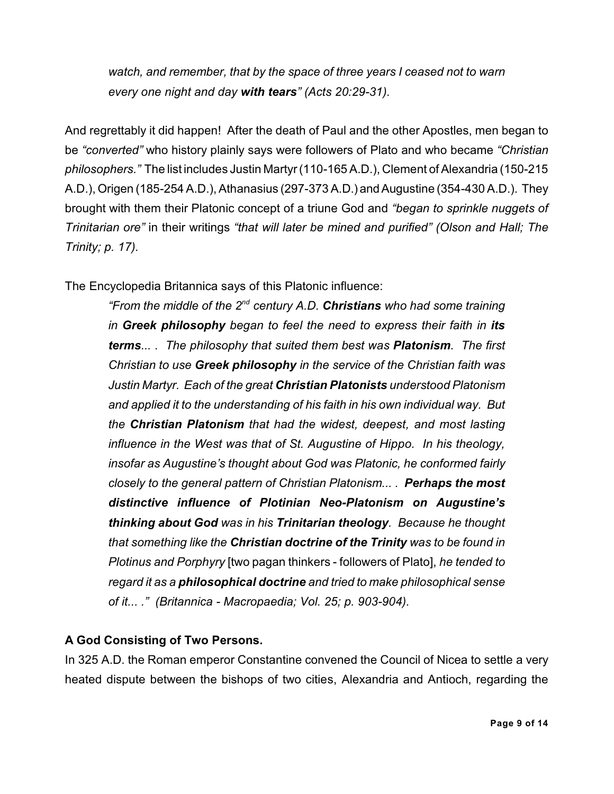*watch, and remember, that by the space of three years I ceased not to warn every one night and day with tears" (Acts 20:29-31).*

And regrettably it did happen! After the death of Paul and the other Apostles, men began to be *"converted"* who history plainly says were followers of Plato and who became *"Christian philosophers.*" The list includes Justin Martyr (110-165 A.D.), Clement of Alexandria (150-215 A.D.), Origen (185-254 A.D.), Athanasius (297-373 A.D.) and Augustine (354-430 A.D.). They brought with them their Platonic concept of a triune God and *"began to sprinkle nuggets of Trinitarian ore"* in their writings *"that will later be mined and purified" (Olson and Hall; The Trinity; p. 17).*

The Encyclopedia Britannica says of this Platonic influence:

*"From the middle of the 2<sup>nd</sup> century A.D. Christians who had some training in Greek philosophy began to feel the need to express their faith in its terms... . The philosophy that suited them best was Platonism. The first Christian to use Greek philosophy in the service of the Christian faith was Justin Martyr. Each of the great Christian Platonists understood Platonism and applied it to the understanding of his faith in his own individual way. But the Christian Platonism that had the widest, deepest, and most lasting influence in the West was that of St. Augustine of Hippo. In his theology, insofar as Augustine's thought about God was Platonic, he conformed fairly closely to the general pattern of Christian Platonism... . Perhaps the most distinctive influence of Plotinian Neo-Platonism on Augustine's thinking about God was in his Trinitarian theology. Because he thought that something like the Christian doctrine of the Trinity was to be found in Plotinus and Porphyry* [two pagan thinkers - followers of Plato], *he tended to regard it as a philosophical doctrine and tried to make philosophical sense of it... ." (Britannica - Macropaedia; Vol. 25; p. 903-904).*

# **A God Consisting of Two Persons.**

In 325 A.D. the Roman emperor Constantine convened the Council of Nicea to settle a very heated dispute between the bishops of two cities, Alexandria and Antioch, regarding the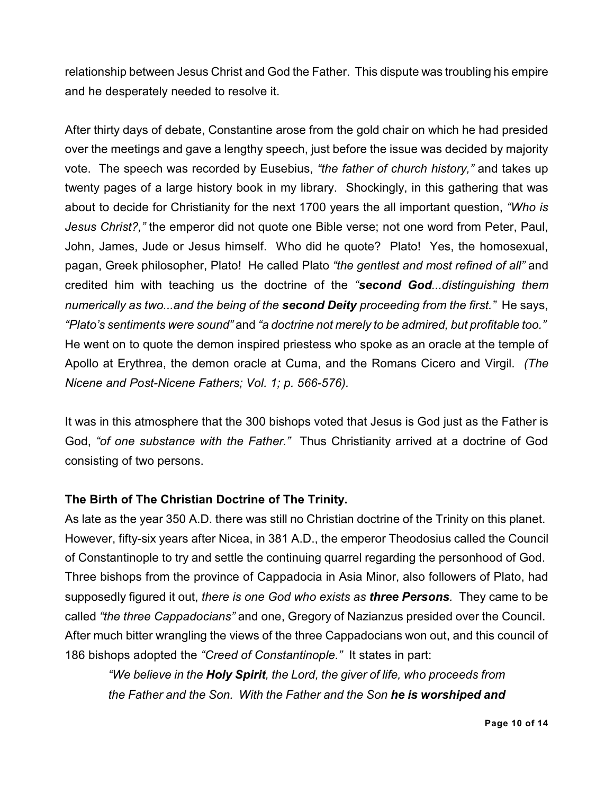relationship between Jesus Christ and God the Father. This dispute was troubling his empire and he desperately needed to resolve it.

After thirty days of debate, Constantine arose from the gold chair on which he had presided over the meetings and gave a lengthy speech, just before the issue was decided by majority vote. The speech was recorded by Eusebius, *"the father of church history,"* and takes up twenty pages of a large history book in my library. Shockingly, in this gathering that was about to decide for Christianity for the next 1700 years the all important question, *"Who is Jesus Christ?,"* the emperor did not quote one Bible verse; not one word from Peter, Paul, John, James, Jude or Jesus himself. Who did he quote? Plato! Yes, the homosexual, pagan, Greek philosopher, Plato! He called Plato *"the gentlest and most refined of all"* and credited him with teaching us the doctrine of the *"second God...distinguishing them numerically as two...and the being of the second Deity proceeding from the first."* He says, *"Plato's sentiments were sound"* and *"a doctrine not merely to be admired, but profitable too."* He went on to quote the demon inspired priestess who spoke as an oracle at the temple of Apollo at Erythrea, the demon oracle at Cuma, and the Romans Cicero and Virgil. *(The Nicene and Post-Nicene Fathers; Vol. 1; p. 566-576).*

It was in this atmosphere that the 300 bishops voted that Jesus is God just as the Father is God, *"of one substance with the Father."* Thus Christianity arrived at a doctrine of God consisting of two persons.

## **The Birth of The Christian Doctrine of The Trinity.**

As late as the year 350 A.D. there was still no Christian doctrine of the Trinity on this planet. However, fifty-six years after Nicea, in 381 A.D., the emperor Theodosius called the Council of Constantinople to try and settle the continuing quarrel regarding the personhood of God. Three bishops from the province of Cappadocia in Asia Minor, also followers of Plato, had supposedly figured it out, *there is one God who exists as three Persons.* They came to be called *"the three Cappadocians"* and one, Gregory of Nazianzus presided over the Council. After much bitter wrangling the views of the three Cappadocians won out, and this council of 186 bishops adopted the *"Creed of Constantinople."* It states in part:

*"We believe in the Holy Spirit, the Lord, the giver of life, who proceeds from the Father and the Son. With the Father and the Son he is worshiped and*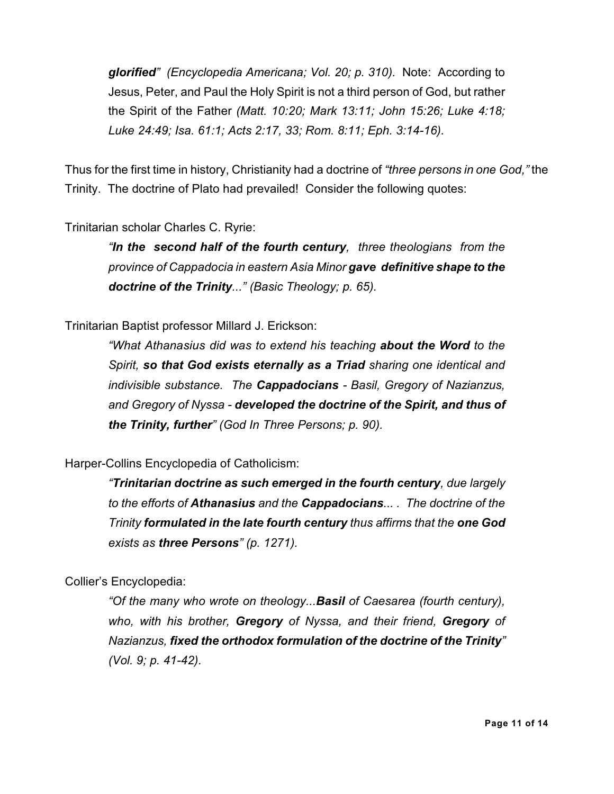*glorified" (Encyclopedia Americana; Vol. 20; p. 310).* Note: According to Jesus, Peter, and Paul the Holy Spirit is not a third person of God, but rather the Spirit of the Father *(Matt. 10:20; Mark 13:11; John 15:26; Luke 4:18; Luke 24:49; Isa. 61:1; Acts 2:17, 33; Rom. 8:11; Eph. 3:14-16).*

Thus for the first time in history, Christianity had a doctrine of *"three persons in one God,"* the Trinity. The doctrine of Plato had prevailed! Consider the following quotes:

### Trinitarian scholar Charles C. Ryrie:

*"In the second half of the fourth century, three theologians from the province of Cappadocia in eastern Asia Minor gave definitive shape to the doctrine of the Trinity..." (Basic Theology; p. 65).*

#### Trinitarian Baptist professor Millard J. Erickson:

*"What Athanasius did was to extend his teaching about the Word to the Spirit, so that God exists eternally as a Triad sharing one identical and indivisible substance. The Cappadocians - Basil, Gregory of Nazianzus, and Gregory of Nyssa - developed the doctrine of the Spirit, and thus of the Trinity, further" (God In Three Persons; p. 90).*

#### Harper-Collins Encyclopedia of Catholicism:

*"Trinitarian doctrine as such emerged in the fourth century, due largely to the efforts of Athanasius and the Cappadocians... . The doctrine of the Trinity formulated in the late fourth century thus affirms that the one God exists as three Persons" (p. 1271).*

#### Collier's Encyclopedia:

*"Of the many who wrote on theology...Basil of Caesarea (fourth century), who, with his brother, Gregory of Nyssa, and their friend, Gregory of Nazianzus, fixed the orthodox formulation of the doctrine of the Trinity" (Vol. 9; p. 41-42).*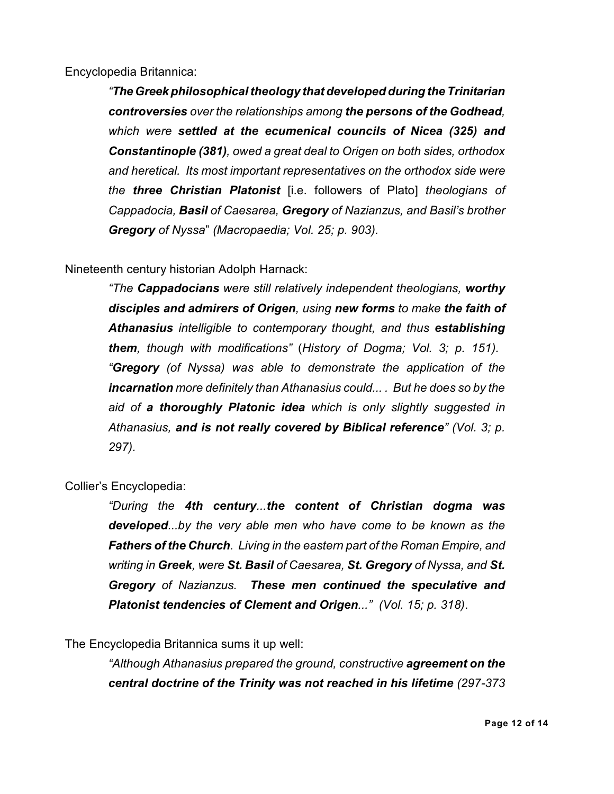Encyclopedia Britannica:

*"The Greek philosophical theology that developed during the Trinitarian controversies over the relationships among the persons of the Godhead, which were settled at the ecumenical councils of Nicea (325) and Constantinople (381), owed a great deal to Origen on both sides, orthodox and heretical. Its most important representatives on the orthodox side were the three Christian Platonist* [i.e. followers of Plato] *theologians of Cappadocia, Basil of Caesarea, Gregory of Nazianzus, and Basil's brother Gregory of Nyssa*" *(Macropaedia; Vol. 25; p. 903).*

Nineteenth century historian Adolph Harnack:

*"The Cappadocians were still relatively independent theologians, worthy disciples and admirers of Origen, using new forms to make the faith of Athanasius intelligible to contemporary thought, and thus establishing them, though with modifications"* (*History of Dogma; Vol. 3; p. 151). "Gregory (of Nyssa) was able to demonstrate the application of the incarnation more definitely than Athanasius could... . But he does so by the aid of a thoroughly Platonic idea which is only slightly suggested in Athanasius, and is not really covered by Biblical reference" (Vol. 3; p. 297).*

Collier's Encyclopedia:

*"During the 4th century...the content of Christian dogma was developed...by the very able men who have come to be known as the Fathers of the Church. Living in the eastern part of the Roman Empire, and writing in Greek, were St. Basil of Caesarea, St. Gregory of Nyssa, and St. Gregory of Nazianzus. These men continued the speculative and Platonist tendencies of Clement and Origen..." (Vol. 15; p. 318)*.

The Encyclopedia Britannica sums it up well:

*"Although Athanasius prepared the ground, constructive agreement on the central doctrine of the Trinity was not reached in his lifetime (297-373*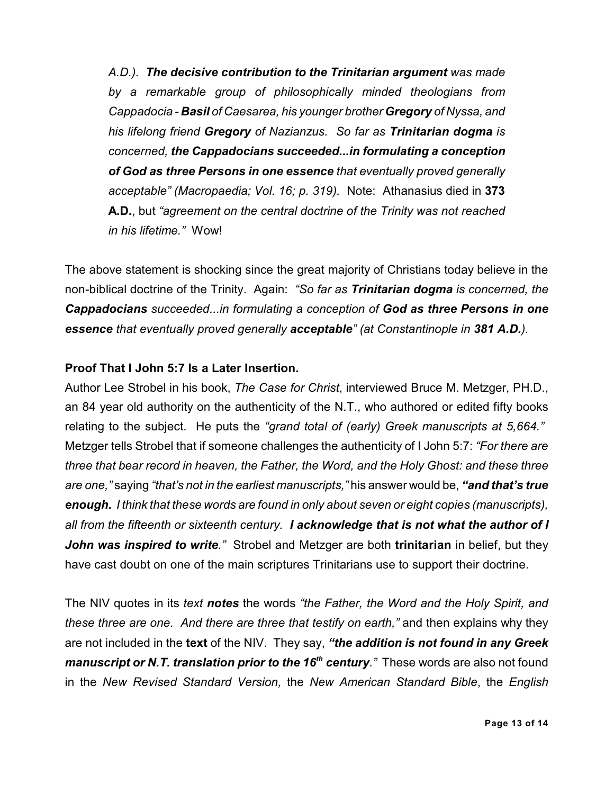*A.D.). The decisive contribution to the Trinitarian argument was made by a remarkable group of philosophically minded theologians from Cappadocia - Basil of Caesarea, his younger brother Gregory of Nyssa, and his lifelong friend Gregory of Nazianzus. So far as Trinitarian dogma is concerned, the Cappadocians succeeded...in formulating a conception of God as three Persons in one essence that eventually proved generally acceptable" (Macropaedia; Vol. 16; p. 319).* Note: Athanasius died in **373 A.D.**, but *"agreement on the central doctrine of the Trinity was not reached in his lifetime."* Wow!

The above statement is shocking since the great majority of Christians today believe in the non-biblical doctrine of the Trinity. Again: *"So far as Trinitarian dogma is concerned, the Cappadocians succeeded...in formulating a conception of God as three Persons in one essence that eventually proved generally acceptable" (at Constantinople in 381 A.D.).*

### **Proof That I John 5:7 Is a Later Insertion.**

Author Lee Strobel in his book, *The Case for Christ*, interviewed Bruce M. Metzger, PH.D., an 84 year old authority on the authenticity of the N.T., who authored or edited fifty books relating to the subject. He puts the *"grand total of (early) Greek manuscripts at 5,664."* Metzger tells Strobel that if someone challenges the authenticity of I John 5:7: *"For there are three that bear record in heaven, the Father, the Word, and the Holy Ghost: and these three are one,"* saying *"that's not in the earliest manuscripts,"* his answer would be, *"and that's true enough. I think that these words are found in only about seven or eight copies (manuscripts), all from the fifteenth or sixteenth century. I acknowledge that is not what the author of I John was inspired to write."* Strobel and Metzger are both **trinitarian** in belief, but they have cast doubt on one of the main scriptures Trinitarians use to support their doctrine.

The NIV quotes in its *text notes* the words *"the Father, the Word and the Holy Spirit, and these three are one. And there are three that testify on earth,"* and then explains why they are not included in the **text** of the NIV. They say, *"the addition is not found in any Greek manuscript or N.T. translation prior to the 16<sup>th</sup> century." These words are also not found* in the *New Revised Standard Version,* the *New American Standard Bible*, the *English*